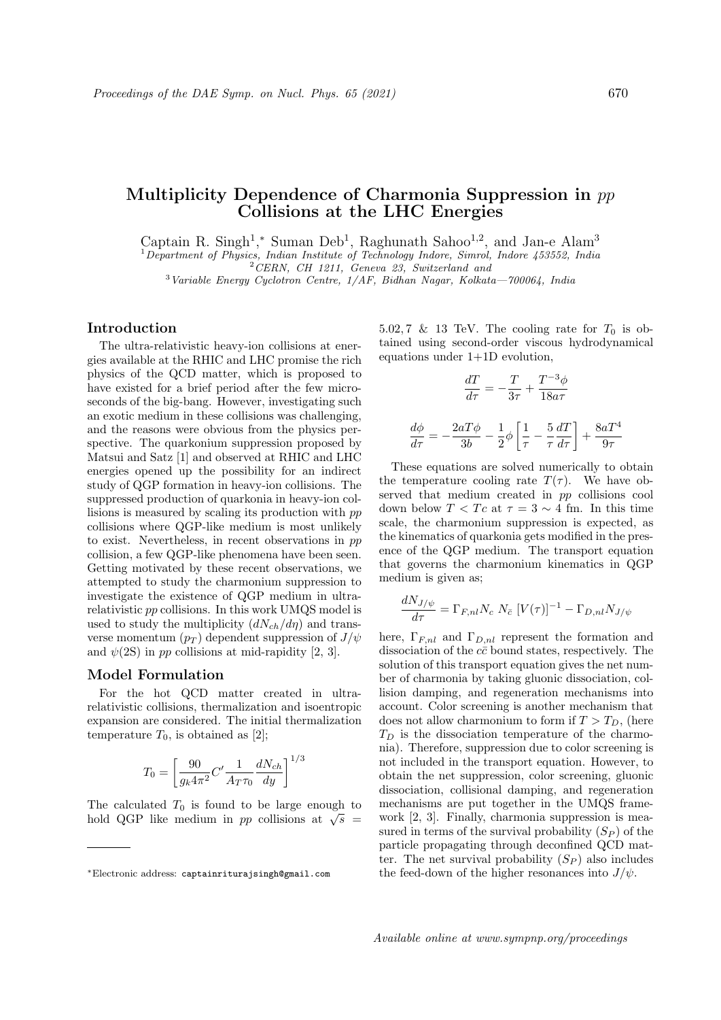# Multiplicity Dependence of Charmonia Suppression in pp Collisions at the LHC Energies

Captain R. Singh<sup>1</sup>,<sup>\*</sup> Suman Deb<sup>1</sup>, Raghunath Sahoo<sup>1,2</sup>, and Jan-e Alam<sup>3</sup>

<sup>1</sup>Department of Physics, Indian Institute of Technology Indore, Simrol, Indore 453552, India

 $2$  CERN, CH 1211, Geneva 23, Switzerland and

 $3$ Variable Energy Cyclotron Centre,  $1/AF$ , Bidhan Nagar, Kolkata—700064, India

## Introduction

The ultra-relativistic heavy-ion collisions at energies available at the RHIC and LHC promise the rich physics of the QCD matter, which is proposed to have existed for a brief period after the few microseconds of the big-bang. However, investigating such an exotic medium in these collisions was challenging, and the reasons were obvious from the physics perspective. The quarkonium suppression proposed by Matsui and Satz [1] and observed at RHIC and LHC energies opened up the possibility for an indirect study of QGP formation in heavy-ion collisions. The suppressed production of quarkonia in heavy-ion collisions is measured by scaling its production with pp collisions where QGP-like medium is most unlikely to exist. Nevertheless, in recent observations in pp collision, a few QGP-like phenomena have been seen. Getting motivated by these recent observations, we attempted to study the charmonium suppression to investigate the existence of QGP medium in ultrarelativistic pp collisions. In this work UMQS model is used to study the multiplicity  $(dN_{ch}/d\eta)$  and transverse momentum  $(p_T)$  dependent suppression of  $J/\psi$ and  $\psi(2S)$  in pp collisions at mid-rapidity [2, 3].

# Model Formulation

For the hot QCD matter created in ultrarelativistic collisions, thermalization and isoentropic expansion are considered. The initial thermalization temperature  $T_0$ , is obtained as [2];

$$
T_0 = \left[\frac{90}{g_k 4\pi^2} C' \frac{1}{A_T \tau_0} \frac{dN_{ch}}{dy}\right]^{1/3}
$$

The calculated  $T_0$  is found to be large enough to The calculated  $I_0$  is found to be large enough to<br>hold QGP like medium in pp collisions at  $\sqrt{s}$  5.02, 7 & 13 TeV. The cooling rate for  $T_0$  is obtained using second-order viscous hydrodynamical equations under 1+1D evolution,

$$
\frac{dT}{d\tau} = -\frac{T}{3\tau} + \frac{T^{-3}\phi}{18a\tau}
$$

$$
\frac{d\phi}{d\tau} = -\frac{2aT\phi}{3b} - \frac{1}{2}\phi \left[ \frac{1}{\tau} - \frac{5}{\tau} \frac{dT}{d\tau} \right] + \frac{8aT^4}{9\tau}
$$

These equations are solved numerically to obtain the temperature cooling rate  $T(\tau)$ . We have observed that medium created in pp collisions cool down below  $T < T_c$  at  $\tau = 3 \sim 4$  fm. In this time scale, the charmonium suppression is expected, as the kinematics of quarkonia gets modified in the presence of the QGP medium. The transport equation that governs the charmonium kinematics in QGP medium is given as;

$$
\frac{dN_{J/\psi}}{d\tau} = \Gamma_{F,nl} N_c N_{\bar{c}} [V(\tau)]^{-1} - \Gamma_{D,nl} N_{J/\psi}
$$

here,  $\Gamma_{F,nl}$  and  $\Gamma_{D,nl}$  represent the formation and dissociation of the  $c\bar{c}$  bound states, respectively. The solution of this transport equation gives the net number of charmonia by taking gluonic dissociation, collision damping, and regeneration mechanisms into account. Color screening is another mechanism that does not allow charmonium to form if  $T > T_D$ , (here  $T_D$  is the dissociation temperature of the charmonia). Therefore, suppression due to color screening is not included in the transport equation. However, to obtain the net suppression, color screening, gluonic dissociation, collisional damping, and regeneration mechanisms are put together in the UMQS framework [2, 3]. Finally, charmonia suppression is measured in terms of the survival probability  $(S_P)$  of the particle propagating through deconfined QCD matter. The net survival probability  $(S_P)$  also includes the feed-down of the higher resonances into  $J/\psi$ .

<sup>∗</sup>Electronic address: captainriturajsingh@gmail.com